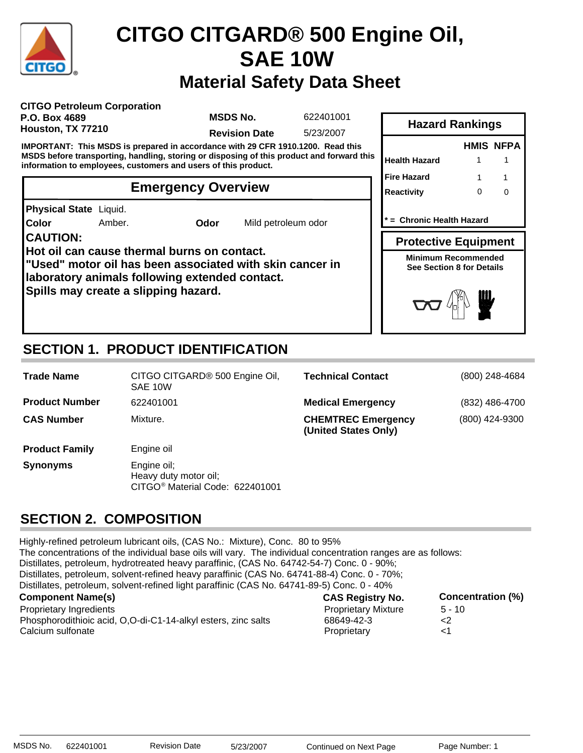

# **Material Safety Data Sheet CITGO CITGARD® 500 Engine Oil, SAE 10W**

#### **CITGO Petroleum Corporation P.O. Box 4689 Houston, TX 77210**

**MSDS No.**

622401001

**Revision Date** 5/23/2007

**IMPORTANT: This MSDS is prepared in accordance with 29 CFR 1910.1200. Read this MSDS before transporting, handling, storing or disposing of this product and forward this information to employees, customers and users of this product.**

### **Emergency Overview**

**Physical State** Liquid.

**Color** Amber. **Odor** Mild petroleum odor

**CAUTION:**

**Hot oil can cause thermal burns on contact. "Used" motor oil has been associated with skin cancer in laboratory animals following extended contact. Spills may create a slipping hazard.**

| <b>Hazard Rankings</b>                                  |   |                  |  |  |
|---------------------------------------------------------|---|------------------|--|--|
|                                                         |   | <b>HMIS NFPA</b> |  |  |
| <b>Health Hazard</b>                                    | 1 |                  |  |  |
| <b>Fire Hazard</b>                                      |   |                  |  |  |
| Reactivity                                              | O |                  |  |  |
| =  Chronic Health Hazard                                |   |                  |  |  |
|                                                         |   |                  |  |  |
| <b>Protective Equipment</b>                             |   |                  |  |  |
| <b>Minimum Recommended</b><br>See Section 8 for Details |   |                  |  |  |

# **SECTION 1. PRODUCT IDENTIFICATION**

| <b>Trade Name</b>     | CITGO CITGARD® 500 Engine Oil,<br>SAE 10W                                           | <b>Technical Contact</b>                          | (800) 248-4684 |
|-----------------------|-------------------------------------------------------------------------------------|---------------------------------------------------|----------------|
| <b>Product Number</b> | 622401001                                                                           | <b>Medical Emergency</b>                          | (832) 486-4700 |
| <b>CAS Number</b>     | Mixture.                                                                            | <b>CHEMTREC Emergency</b><br>(United States Only) | (800) 424-9300 |
| <b>Product Family</b> | Engine oil                                                                          |                                                   |                |
| <b>Synonyms</b>       | Engine oil;<br>Heavy duty motor oil;<br>CITGO <sup>®</sup> Material Code: 622401001 |                                                   |                |

# **SECTION 2. COMPOSITION**

Highly-refined petroleum lubricant oils, (CAS No.: Mixture), Conc. 80 to 95%

The concentrations of the individual base oils will vary. The individual concentration ranges are as follows:

Distillates, petroleum, hydrotreated heavy paraffinic, (CAS No. 64742-54-7) Conc. 0 - 90%;

Distillates, petroleum, solvent-refined heavy paraffinic (CAS No. 64741-88-4) Conc. 0 - 70%; Distillates, petroleum, solvent-refined light paraffinic (CAS No. 64741-89-5) Conc. 0 - 40%

#### **Component Name(s)**

Proprietary Ingredients **Proprietary Ingredients Proprietary Mixture** 5 - 10 Phosphorodithioic acid, O,O-di-C1-14-alkyl esters, zinc salts 68649-42-3 <2 Calcium sulfonate **Calcium sulfonate**  $\leq 1$ 

| <b>CAS Registry No.</b>    | С |
|----------------------------|---|
| <b>Proprietary Mixture</b> | 5 |
| 68649-42-3                 | < |
| Proprietary                | < |

**Concentration (%)** 

MSDS No. 622401001 Revision Date 5/23/2007 Continued on Next Page Page Number: 1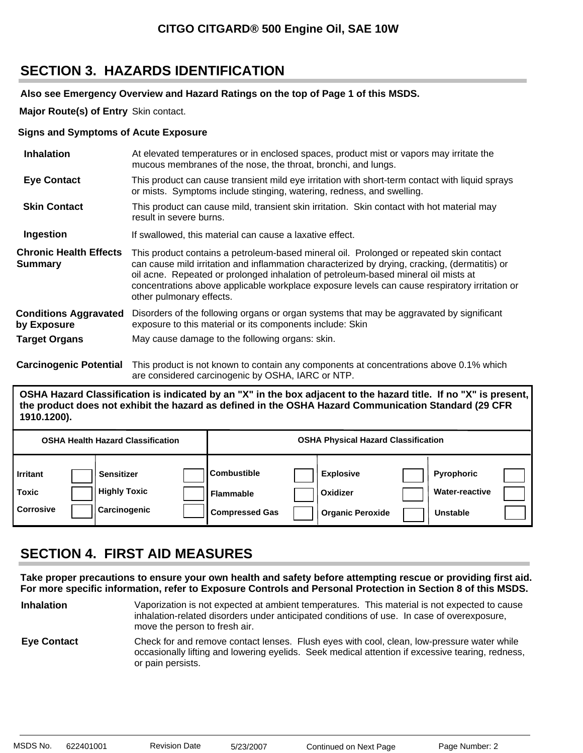### **SECTION 3. HAZARDS IDENTIFICATION**

#### **Also see Emergency Overview and Hazard Ratings on the top of Page 1 of this MSDS.**

#### **Major Route(s) of Entry** Skin contact.

#### **Signs and Symptoms of Acute Exposure**

| <b>Inhalation</b>                           | At elevated temperatures or in enclosed spaces, product mist or vapors may irritate the<br>mucous membranes of the nose, the throat, bronchi, and lungs.                                                                                                                                                                                                                                                    |
|---------------------------------------------|-------------------------------------------------------------------------------------------------------------------------------------------------------------------------------------------------------------------------------------------------------------------------------------------------------------------------------------------------------------------------------------------------------------|
| <b>Eye Contact</b>                          | This product can cause transient mild eye irritation with short-term contact with liquid sprays<br>or mists. Symptoms include stinging, watering, redness, and swelling.                                                                                                                                                                                                                                    |
| <b>Skin Contact</b>                         | This product can cause mild, transient skin irritation. Skin contact with hot material may<br>result in severe burns.                                                                                                                                                                                                                                                                                       |
| Ingestion                                   | If swallowed, this material can cause a laxative effect.                                                                                                                                                                                                                                                                                                                                                    |
| <b>Chronic Health Effects</b><br>Summary    | This product contains a petroleum-based mineral oil. Prolonged or repeated skin contact<br>can cause mild irritation and inflammation characterized by drying, cracking, (dermatitis) or<br>oil acne. Repeated or prolonged inhalation of petroleum-based mineral oil mists at<br>concentrations above applicable workplace exposure levels can cause respiratory irritation or<br>other pulmonary effects. |
| <b>Conditions Aggravated</b><br>by Exposure | Disorders of the following organs or organ systems that may be aggravated by significant<br>exposure to this material or its components include: Skin                                                                                                                                                                                                                                                       |
| <b>Target Organs</b>                        | May cause damage to the following organs: skin.                                                                                                                                                                                                                                                                                                                                                             |
| <b>Carcinogenic Potential</b>               | This product is not known to contain any components at concentrations above 0.1% which                                                                                                                                                                                                                                                                                                                      |

#### **OSHA Hazard Classification is indicated by an "X" in the box adjacent to the hazard title. If no "X" is present, the product does not exhibit the hazard as defined in the OSHA Hazard Communication Standard (29 CFR 1910.1200).**

are considered carcinogenic by OSHA, IARC or NTP.

|                                              | <b>OSHA Health Hazard Classification</b>                 |                                                                 | <b>OSHA Physical Hazard Classification</b>              |                                                               |  |
|----------------------------------------------|----------------------------------------------------------|-----------------------------------------------------------------|---------------------------------------------------------|---------------------------------------------------------------|--|
| <b>Irritant</b><br>Toxic<br><b>Corrosive</b> | <b>Sensitizer</b><br><b>Highly Toxic</b><br>Carcinogenic | <b>Combustible</b><br><b>Flammable</b><br><b>Compressed Gas</b> | <b>Explosive</b><br>Oxidizer<br><b>Organic Peroxide</b> | <b>Pyrophoric</b><br><b>Water-reactive</b><br><b>Unstable</b> |  |

### **SECTION 4. FIRST AID MEASURES**

**Take proper precautions to ensure your own health and safety before attempting rescue or providing first aid. For more specific information, refer to Exposure Controls and Personal Protection in Section 8 of this MSDS.**

**Inhalation** Vaporization is not expected at ambient temperatures. This material is not expected to cause inhalation-related disorders under anticipated conditions of use. In case of overexposure, move the person to fresh air.

**Eye Contact** Check for and remove contact lenses. Flush eyes with cool, clean, low-pressure water while occasionally lifting and lowering eyelids. Seek medical attention if excessive tearing, redness, or pain persists.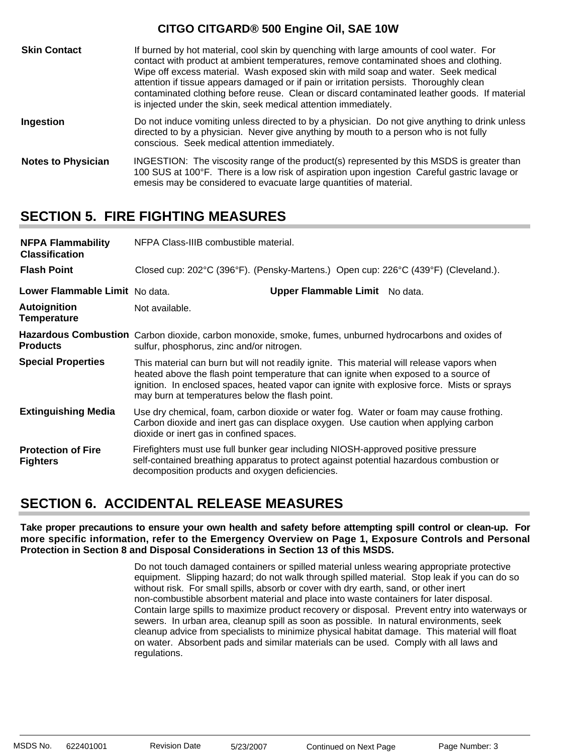| <b>Skin Contact</b>       | If burned by hot material, cool skin by quenching with large amounts of cool water. For<br>contact with product at ambient temperatures, remove contaminated shoes and clothing.<br>Wipe off excess material. Wash exposed skin with mild soap and water. Seek medical<br>attention if tissue appears damaged or if pain or irritation persists. Thoroughly clean<br>contaminated clothing before reuse. Clean or discard contaminated leather goods. If material<br>is injected under the skin, seek medical attention immediately. |
|---------------------------|--------------------------------------------------------------------------------------------------------------------------------------------------------------------------------------------------------------------------------------------------------------------------------------------------------------------------------------------------------------------------------------------------------------------------------------------------------------------------------------------------------------------------------------|
| Ingestion                 | Do not induce vomiting unless directed to by a physician. Do not give anything to drink unless<br>directed to by a physician. Never give anything by mouth to a person who is not fully<br>conscious. Seek medical attention immediately.                                                                                                                                                                                                                                                                                            |
| <b>Notes to Physician</b> | INGESTION: The viscosity range of the product(s) represented by this MSDS is greater than<br>100 SUS at 100°F. There is a low risk of aspiration upon ingestion Careful gastric lavage or<br>emesis may be considered to evacuate large quantities of material.                                                                                                                                                                                                                                                                      |

### **SECTION 5. FIRE FIGHTING MEASURES**

| <b>NFPA Flammability</b><br><b>Classification</b> | NFPA Class-IIIB combustible material.                                                                                                                                                                                                                                                                                                |
|---------------------------------------------------|--------------------------------------------------------------------------------------------------------------------------------------------------------------------------------------------------------------------------------------------------------------------------------------------------------------------------------------|
| <b>Flash Point</b>                                | Closed cup: 202°C (396°F). (Pensky-Martens.) Open cup: 226°C (439°F) (Cleveland.).                                                                                                                                                                                                                                                   |
| Lower Flammable Limit No data.                    | Upper Flammable Limit No data.                                                                                                                                                                                                                                                                                                       |
| <b>Autoignition</b><br><b>Temperature</b>         | Not available.                                                                                                                                                                                                                                                                                                                       |
| <b>Products</b>                                   | Hazardous Combustion Carbon dioxide, carbon monoxide, smoke, fumes, unburned hydrocarbons and oxides of<br>sulfur, phosphorus, zinc and/or nitrogen.                                                                                                                                                                                 |
| <b>Special Properties</b>                         | This material can burn but will not readily ignite. This material will release vapors when<br>heated above the flash point temperature that can ignite when exposed to a source of<br>ignition. In enclosed spaces, heated vapor can ignite with explosive force. Mists or sprays<br>may burn at temperatures below the flash point. |
| <b>Extinguishing Media</b>                        | Use dry chemical, foam, carbon dioxide or water fog. Water or foam may cause frothing.<br>Carbon dioxide and inert gas can displace oxygen. Use caution when applying carbon<br>dioxide or inert gas in confined spaces.                                                                                                             |
| <b>Protection of Fire</b><br><b>Fighters</b>      | Firefighters must use full bunker gear including NIOSH-approved positive pressure<br>self-contained breathing apparatus to protect against potential hazardous combustion or<br>decomposition products and oxygen deficiencies.                                                                                                      |

# **SECTION 6. ACCIDENTAL RELEASE MEASURES**

**Take proper precautions to ensure your own health and safety before attempting spill control or clean-up. For more specific information, refer to the Emergency Overview on Page 1, Exposure Controls and Personal Protection in Section 8 and Disposal Considerations in Section 13 of this MSDS.**

> Do not touch damaged containers or spilled material unless wearing appropriate protective equipment. Slipping hazard; do not walk through spilled material. Stop leak if you can do so without risk. For small spills, absorb or cover with dry earth, sand, or other inert non-combustible absorbent material and place into waste containers for later disposal. Contain large spills to maximize product recovery or disposal. Prevent entry into waterways or sewers. In urban area, cleanup spill as soon as possible. In natural environments, seek cleanup advice from specialists to minimize physical habitat damage. This material will float on water. Absorbent pads and similar materials can be used. Comply with all laws and regulations.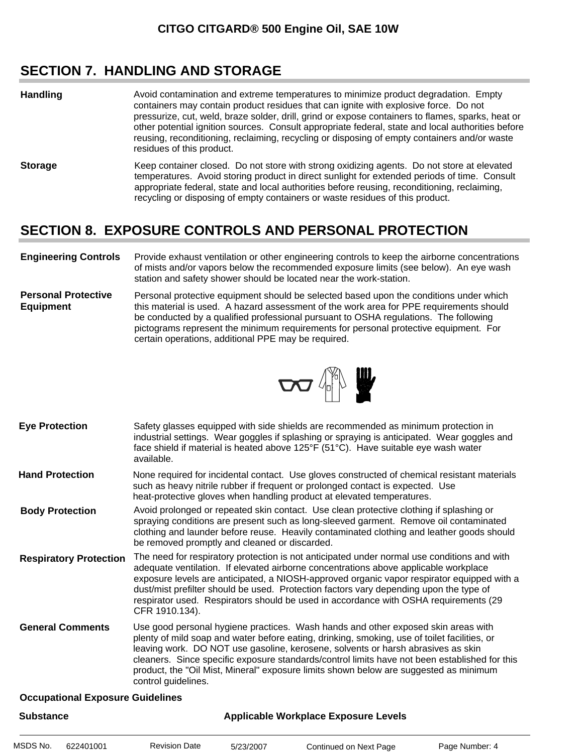### **SECTION 7. HANDLING AND STORAGE**

**Storage** Keep container closed. Do not store with strong oxidizing agents. Do not store at elevated Avoid contamination and extreme temperatures to minimize product degradation. Empty containers may contain product residues that can ignite with explosive force. Do not pressurize, cut, weld, braze solder, drill, grind or expose containers to flames, sparks, heat or other potential ignition sources. Consult appropriate federal, state and local authorities before reusing, reconditioning, reclaiming, recycling or disposing of empty containers and/or waste residues of this product. **Handling**

temperatures. Avoid storing product in direct sunlight for extended periods of time. Consult appropriate federal, state and local authorities before reusing, reconditioning, reclaiming, recycling or disposing of empty containers or waste residues of this product.

### **SECTION 8. EXPOSURE CONTROLS AND PERSONAL PROTECTION**

**Engineering Controls** Provide exhaust ventilation or other engineering controls to keep the airborne concentrations of mists and/or vapors below the recommended exposure limits (see below). An eye wash station and safety shower should be located near the work-station.

**Personal Protective Equipment** Personal protective equipment should be selected based upon the conditions under which this material is used. A hazard assessment of the work area for PPE requirements should be conducted by a qualified professional pursuant to OSHA regulations. The following pictograms represent the minimum requirements for personal protective equipment. For certain operations, additional PPE may be required.



| <b>Eye Protection</b> | Safety glasses equipped with side shields are recommended as minimum protection in          |  |  |  |  |
|-----------------------|---------------------------------------------------------------------------------------------|--|--|--|--|
|                       | industrial settings. Wear goggles if splashing or spraying is anticipated. Wear goggles and |  |  |  |  |
|                       | face shield if material is heated above 125°F (51°C). Have suitable eye wash water          |  |  |  |  |
|                       | available.                                                                                  |  |  |  |  |

None required for incidental contact. Use gloves constructed of chemical resistant materials such as heavy nitrile rubber if frequent or prolonged contact is expected. Use heat-protective gloves when handling product at elevated temperatures. **Hand Protection**

Avoid prolonged or repeated skin contact. Use clean protective clothing if splashing or spraying conditions are present such as long-sleeved garment. Remove oil contaminated clothing and launder before reuse. Heavily contaminated clothing and leather goods should be removed promptly and cleaned or discarded. **Body Protection**

The need for respiratory protection is not anticipated under normal use conditions and with adequate ventilation. If elevated airborne concentrations above applicable workplace exposure levels are anticipated, a NIOSH-approved organic vapor respirator equipped with a dust/mist prefilter should be used. Protection factors vary depending upon the type of respirator used. Respirators should be used in accordance with OSHA requirements (29 CFR 1910.134). **Respiratory Protection**

Use good personal hygiene practices. Wash hands and other exposed skin areas with plenty of mild soap and water before eating, drinking, smoking, use of toilet facilities, or leaving work. DO NOT use gasoline, kerosene, solvents or harsh abrasives as skin cleaners. Since specific exposure standards/control limits have not been established for this product, the "Oil Mist, Mineral" exposure limits shown below are suggested as minimum control guidelines. **General Comments**

#### **Occupational Exposure Guidelines**

| <b>Substance</b> |           |                      | <b>Applicable Workplace Exposure Levels</b> |                        |                |  |  |
|------------------|-----------|----------------------|---------------------------------------------|------------------------|----------------|--|--|
| MSDS No.         | 622401001 | <b>Revision Date</b> | 5/23/2007                                   | Continued on Next Page | Page Number: 4 |  |  |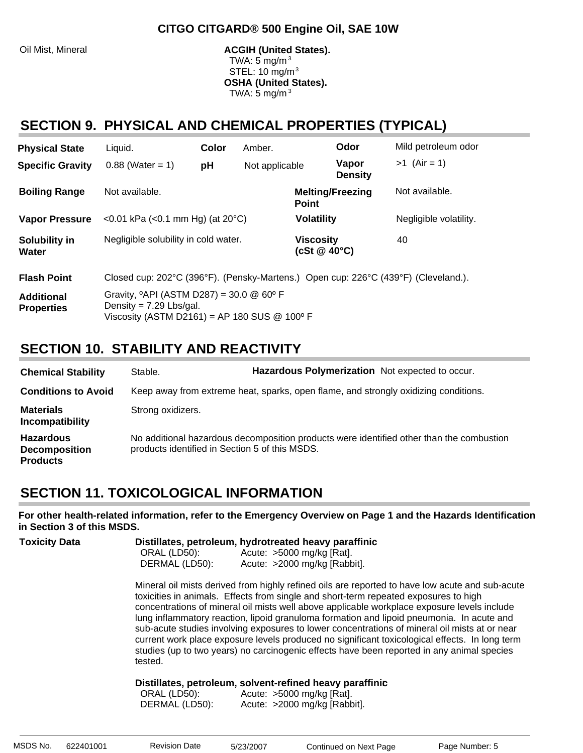Oil Mist, Mineral **ACGIH (United States).** ACGIH (United States). TWA: 5 mg/m $3$  STEL: 10 mg/m3 **OSHA (United States).** TWA:  $5 \text{ mg/m}^3$ 

# **SECTION 9. PHYSICAL AND CHEMICAL PROPERTIES (TYPICAL)**

| <b>Physical State</b>                  | Liquid.                                                                                                                                               | Color | Amber.                                 |                   | Odor                    | Mild petroleum odor    |
|----------------------------------------|-------------------------------------------------------------------------------------------------------------------------------------------------------|-------|----------------------------------------|-------------------|-------------------------|------------------------|
| <b>Specific Gravity</b>                | $0.88$ (Water = 1)                                                                                                                                    | pH    | Not applicable                         |                   | Vapor<br><b>Density</b> | $>1$ (Air = 1)         |
| <b>Boiling Range</b>                   | Not available.                                                                                                                                        |       |                                        | <b>Point</b>      | <b>Melting/Freezing</b> | Not available.         |
| <b>Vapor Pressure</b>                  | <0.01 kPa (<0.1 mm Hg) (at $20^{\circ}$ C)                                                                                                            |       |                                        | <b>Volatility</b> |                         | Negligible volatility. |
| Solubility in<br>Water                 | Negligible solubility in cold water.                                                                                                                  |       | <b>Viscosity</b><br>(cSt $@$ 40 $°C$ ) |                   | 40                      |                        |
| <b>Flash Point</b>                     | Closed cup: 202°C (396°F). (Pensky-Martens.) Open cup: 226°C (439°F) (Cleveland.).                                                                    |       |                                        |                   |                         |                        |
| <b>Additional</b><br><b>Properties</b> | Gravity, $^{\circ}$ API (ASTM D287) = 30.0 @ 60 $^{\circ}$ F<br>Density = $7.29$ Lbs/gal.<br>Viscosity (ASTM D2161) = AP 180 SUS $@$ 100 $^{\circ}$ F |       |                                        |                   |                         |                        |

### **SECTION 10. STABILITY AND REACTIVITY**

| <b>Chemical Stability</b>                                   | Stable.                                        | Hazardous Polymerization Not expected to occur.                                          |
|-------------------------------------------------------------|------------------------------------------------|------------------------------------------------------------------------------------------|
| <b>Conditions to Avoid</b>                                  |                                                | Keep away from extreme heat, sparks, open flame, and strongly oxidizing conditions.      |
| <b>Materials</b><br>Incompatibility                         | Strong oxidizers.                              |                                                                                          |
| <b>Hazardous</b><br><b>Decomposition</b><br><b>Products</b> | products identified in Section 5 of this MSDS. | No additional hazardous decomposition products were identified other than the combustion |

### **SECTION 11. TOXICOLOGICAL INFORMATION**

**For other health-related information, refer to the Emergency Overview on Page 1 and the Hazards Identification in Section 3 of this MSDS.**

| <b>Toxicity Data</b> | Distillates, petroleum, hydrotreated heavy paraffinic<br>ORAL (LD50):<br>Acute: $>5000$ mg/kg [Rat].<br>Acute: >2000 mg/kg [Rabbit].<br>DERMAL (LD50):                                                                                                                                                                                                                                                                                                                                                                                                                                                                                                                                          |
|----------------------|-------------------------------------------------------------------------------------------------------------------------------------------------------------------------------------------------------------------------------------------------------------------------------------------------------------------------------------------------------------------------------------------------------------------------------------------------------------------------------------------------------------------------------------------------------------------------------------------------------------------------------------------------------------------------------------------------|
|                      | Mineral oil mists derived from highly refined oils are reported to have low acute and sub-acute<br>toxicities in animals. Effects from single and short-term repeated exposures to high<br>concentrations of mineral oil mists well above applicable workplace exposure levels include<br>lung inflammatory reaction, lipoid granuloma formation and lipoid pneumonia. In acute and<br>sub-acute studies involving exposures to lower concentrations of mineral oil mists at or near<br>current work place exposure levels produced no significant toxicological effects. In long term<br>studies (up to two years) no carcinogenic effects have been reported in any animal species<br>tested. |
|                      | Distillates, petroleum, solvent-refined heavy paraffinic<br>ORAL (LD50):<br>Acute: $>5000$ mg/kg [Rat].<br>Acute: >2000 mg/kg [Rabbit].<br>DERMAL (LD50):                                                                                                                                                                                                                                                                                                                                                                                                                                                                                                                                       |

MSDS No. 622401001 Revision Date 5/23/2007 Continued on Next Page Page Number: 5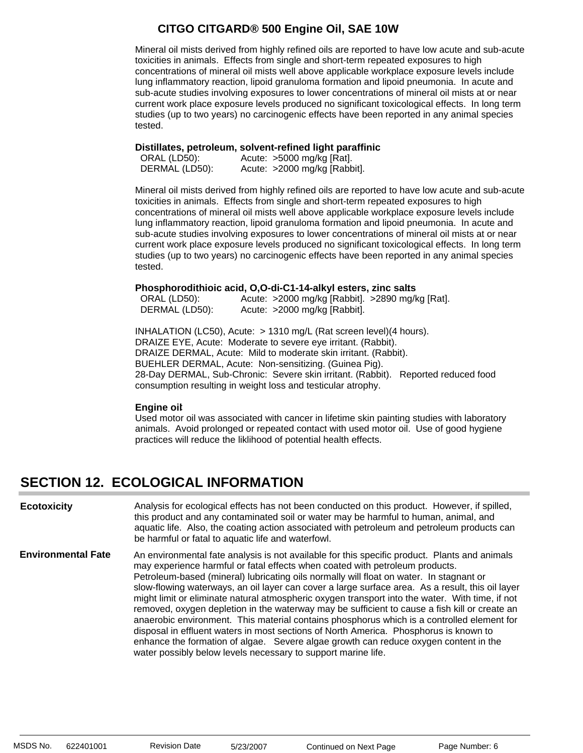Mineral oil mists derived from highly refined oils are reported to have low acute and sub-acute toxicities in animals. Effects from single and short-term repeated exposures to high concentrations of mineral oil mists well above applicable workplace exposure levels include lung inflammatory reaction, lipoid granuloma formation and lipoid pneumonia. In acute and sub-acute studies involving exposures to lower concentrations of mineral oil mists at or near current work place exposure levels produced no significant toxicological effects. In long term studies (up to two years) no carcinogenic effects have been reported in any animal species tested.

#### **Distillates, petroleum, solvent-refined light paraffinic**:

| ORAL (LD50):   | Acute: >5000 mg/kg [Rat].    |
|----------------|------------------------------|
| DERMAL (LD50): | Acute: >2000 mg/kg [Rabbit]. |

Mineral oil mists derived from highly refined oils are reported to have low acute and sub-acute toxicities in animals. Effects from single and short-term repeated exposures to high concentrations of mineral oil mists well above applicable workplace exposure levels include lung inflammatory reaction, lipoid granuloma formation and lipoid pneumonia. In acute and sub-acute studies involving exposures to lower concentrations of mineral oil mists at or near current work place exposure levels produced no significant toxicological effects. In long term studies (up to two years) no carcinogenic effects have been reported in any animal species tested.

#### **Phosphorodithioic acid, O,O-di-C1-14-alkyl esters, zinc salts**:

| ORAL (LD50):   |                              | Acute: >2000 mg/kg [Rabbit]. >2890 mg/kg [Rat]. |
|----------------|------------------------------|-------------------------------------------------|
| DERMAL (LD50): | Acute: >2000 mg/kg [Rabbit]. |                                                 |

INHALATION (LC50), Acute: > 1310 mg/L (Rat screen level)(4 hours). DRAIZE EYE, Acute: Moderate to severe eye irritant. (Rabbit). DRAIZE DERMAL, Acute: Mild to moderate skin irritant. (Rabbit). BUEHLER DERMAL, Acute: Non-sensitizing. (Guinea Pig). 28-Day DERMAL, Sub-Chronic: Severe skin irritant. (Rabbit). Reported reduced food consumption resulting in weight loss and testicular atrophy.

#### **Engine oil**:

Used motor oil was associated with cancer in lifetime skin painting studies with laboratory animals. Avoid prolonged or repeated contact with used motor oil. Use of good hygiene practices will reduce the liklihood of potential health effects.

# **SECTION 12. ECOLOGICAL INFORMATION**

Analysis for ecological effects has not been conducted on this product. However, if spilled, this product and any contaminated soil or water may be harmful to human, animal, and aquatic life. Also, the coating action associated with petroleum and petroleum products can be harmful or fatal to aquatic life and waterfowl. **Ecotoxicity**

An environmental fate analysis is not available for this specific product. Plants and animals may experience harmful or fatal effects when coated with petroleum products. Petroleum-based (mineral) lubricating oils normally will float on water. In stagnant or slow-flowing waterways, an oil layer can cover a large surface area. As a result, this oil layer might limit or eliminate natural atmospheric oxygen transport into the water. With time, if not removed, oxygen depletion in the waterway may be sufficient to cause a fish kill or create an anaerobic environment. This material contains phosphorus which is a controlled element for disposal in effluent waters in most sections of North America. Phosphorus is known to enhance the formation of algae. Severe algae growth can reduce oxygen content in the water possibly below levels necessary to support marine life. **Environmental Fate**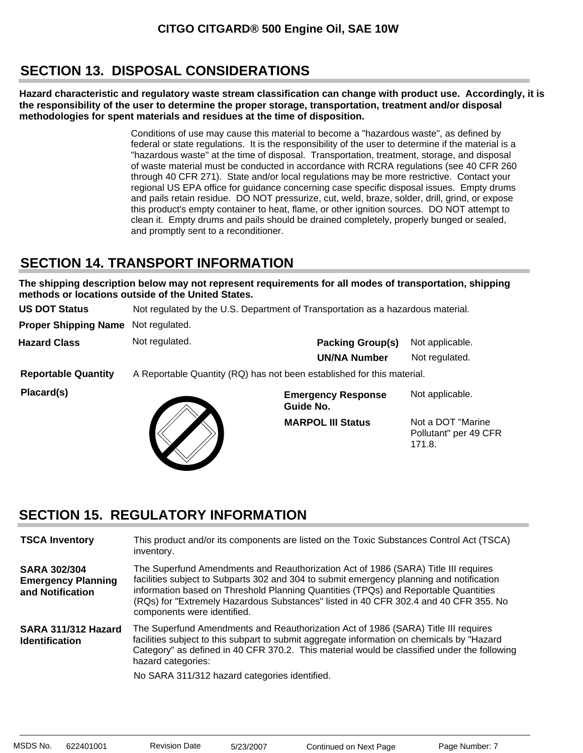# **SECTION 13. DISPOSAL CONSIDERATIONS**

**Hazard characteristic and regulatory waste stream classification can change with product use. Accordingly, it is the responsibility of the user to determine the proper storage, transportation, treatment and/or disposal methodologies for spent materials and residues at the time of disposition.**

> Conditions of use may cause this material to become a "hazardous waste", as defined by federal or state regulations. It is the responsibility of the user to determine if the material is a "hazardous waste" at the time of disposal. Transportation, treatment, storage, and disposal of waste material must be conducted in accordance with RCRA regulations (see 40 CFR 260 through 40 CFR 271). State and/or local regulations may be more restrictive. Contact your regional US EPA office for guidance concerning case specific disposal issues. Empty drums and pails retain residue. DO NOT pressurize, cut, weld, braze, solder, drill, grind, or expose this product's empty container to heat, flame, or other ignition sources. DO NOT attempt to clean it. Empty drums and pails should be drained completely, properly bunged or sealed, and promptly sent to a reconditioner.

### **SECTION 14. TRANSPORT INFORMATION**

**The shipping description below may not represent requirements for all modes of transportation, shipping methods or locations outside of the United States.**

**US DOT Status** Not regulated by the U.S. Department of Transportation as a hazardous material.

**Proper Shipping Name** Not regulated.

Not regulated. **Hazard Class**

**Packing Group(s)** Not applicable. **UN/NA Number** Not regulated.

**Reportable Quantity** A Reportable Quantity (RQ) has not been established for this material.

**Placard(s)**



**Emergency Response Guide No.**

**MARPOL III Status**

Not a DOT "Marine Pollutant" per 49 CFR 171.8.

Not applicable.

### **SECTION 15. REGULATORY INFORMATION**

| <b>TSCA Inventory</b>                                                | This product and/or its components are listed on the Toxic Substances Control Act (TSCA)<br>inventory.                                                                                                                                                                                                                                                                                       |
|----------------------------------------------------------------------|----------------------------------------------------------------------------------------------------------------------------------------------------------------------------------------------------------------------------------------------------------------------------------------------------------------------------------------------------------------------------------------------|
| <b>SARA 302/304</b><br><b>Emergency Planning</b><br>and Notification | The Superfund Amendments and Reauthorization Act of 1986 (SARA) Title III requires<br>facilities subject to Subparts 302 and 304 to submit emergency planning and notification<br>information based on Threshold Planning Quantities (TPQs) and Reportable Quantities<br>(RQs) for "Extremely Hazardous Substances" listed in 40 CFR 302.4 and 40 CFR 355. No<br>components were identified. |
| SARA 311/312 Hazard<br><b>Identification</b>                         | The Superfund Amendments and Reauthorization Act of 1986 (SARA) Title III requires<br>facilities subject to this subpart to submit aggregate information on chemicals by "Hazard"<br>Category" as defined in 40 CFR 370.2. This material would be classified under the following<br>hazard categories:<br>No SARA 311/312 hazard categories identified.                                      |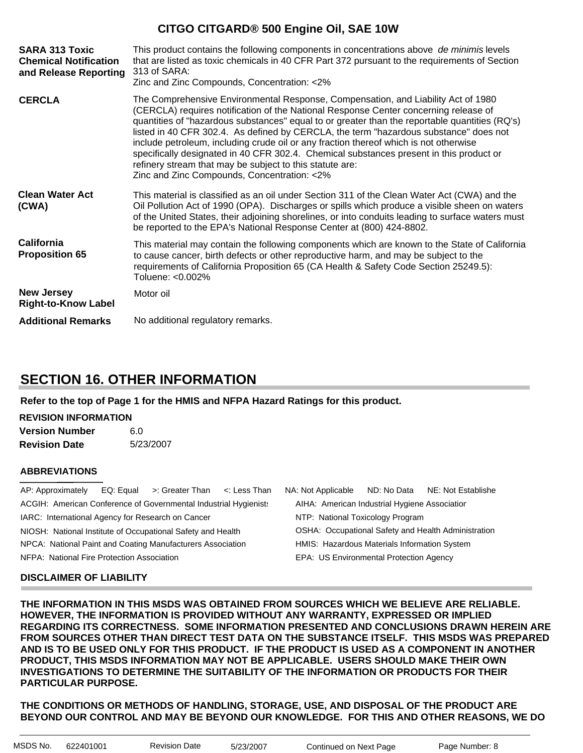| <b>SARA 313 Toxic</b><br><b>Chemical Notification</b><br>and Release Reporting | This product contains the following components in concentrations above de minimis levels<br>that are listed as toxic chemicals in 40 CFR Part 372 pursuant to the requirements of Section<br>313 of SARA:<br>Zinc and Zinc Compounds, Concentration: <2%                                                                                                                                                                                                                                                                                                                                                                                                            |
|--------------------------------------------------------------------------------|---------------------------------------------------------------------------------------------------------------------------------------------------------------------------------------------------------------------------------------------------------------------------------------------------------------------------------------------------------------------------------------------------------------------------------------------------------------------------------------------------------------------------------------------------------------------------------------------------------------------------------------------------------------------|
| <b>CERCLA</b>                                                                  | The Comprehensive Environmental Response, Compensation, and Liability Act of 1980<br>(CERCLA) requires notification of the National Response Center concerning release of<br>quantities of "hazardous substances" equal to or greater than the reportable quantities (RQ's)<br>listed in 40 CFR 302.4. As defined by CERCLA, the term "hazardous substance" does not<br>include petroleum, including crude oil or any fraction thereof which is not otherwise<br>specifically designated in 40 CFR 302.4. Chemical substances present in this product or<br>refinery stream that may be subject to this statute are:<br>Zinc and Zinc Compounds, Concentration: <2% |
| <b>Clean Water Act</b><br>(CWA)                                                | This material is classified as an oil under Section 311 of the Clean Water Act (CWA) and the<br>Oil Pollution Act of 1990 (OPA). Discharges or spills which produce a visible sheen on waters<br>of the United States, their adjoining shorelines, or into conduits leading to surface waters must<br>be reported to the EPA's National Response Center at (800) 424-8802.                                                                                                                                                                                                                                                                                          |
| California<br><b>Proposition 65</b>                                            | This material may contain the following components which are known to the State of California<br>to cause cancer, birth defects or other reproductive harm, and may be subject to the<br>requirements of California Proposition 65 (CA Health & Safety Code Section 25249.5):<br>Toluene: <0.002%                                                                                                                                                                                                                                                                                                                                                                   |
| <b>New Jersey</b><br><b>Right-to-Know Label</b>                                | Motor oil                                                                                                                                                                                                                                                                                                                                                                                                                                                                                                                                                                                                                                                           |
| <b>Additional Remarks</b>                                                      | No additional regulatory remarks.                                                                                                                                                                                                                                                                                                                                                                                                                                                                                                                                                                                                                                   |

### **SECTION 16. OTHER INFORMATION**

**Refer to the top of Page 1 for the HMIS and NFPA Hazard Ratings for this product.**

#### **REVISION INFORMATION**

**Revision Date Version Number** 5/23/2007 6.0

#### **ABBREVIATIONS**

| AP: Approximately                                                |  | EQ: Equal $\Rightarrow$ : Greater Than $\lt$ : Less Than |                                                     | NA: Not Applicable ND: No Data NE: Not Establishe |  |  |
|------------------------------------------------------------------|--|----------------------------------------------------------|-----------------------------------------------------|---------------------------------------------------|--|--|
| ACGIH: American Conference of Governmental Industrial Hygienists |  |                                                          | AIHA: American Industrial Hygiene Associatior       |                                                   |  |  |
| IARC: International Agency for Research on Cancer                |  |                                                          | NTP: National Toxicology Program                    |                                                   |  |  |
| NIOSH: National Institute of Occupational Safety and Health      |  |                                                          | OSHA: Occupational Safety and Health Administration |                                                   |  |  |
| NPCA: National Paint and Coating Manufacturers Association       |  |                                                          | HMIS: Hazardous Materials Information System        |                                                   |  |  |
| NFPA: National Fire Protection Association                       |  |                                                          | EPA: US Environmental Protection Agency             |                                                   |  |  |

#### **DISCLAIMER OF LIABILITY**

**THE INFORMATION IN THIS MSDS WAS OBTAINED FROM SOURCES WHICH WE BELIEVE ARE RELIABLE. HOWEVER, THE INFORMATION IS PROVIDED WITHOUT ANY WARRANTY, EXPRESSED OR IMPLIED REGARDING ITS CORRECTNESS. SOME INFORMATION PRESENTED AND CONCLUSIONS DRAWN HEREIN ARE FROM SOURCES OTHER THAN DIRECT TEST DATA ON THE SUBSTANCE ITSELF. THIS MSDS WAS PREPARED AND IS TO BE USED ONLY FOR THIS PRODUCT. IF THE PRODUCT IS USED AS A COMPONENT IN ANOTHER PRODUCT, THIS MSDS INFORMATION MAY NOT BE APPLICABLE. USERS SHOULD MAKE THEIR OWN INVESTIGATIONS TO DETERMINE THE SUITABILITY OF THE INFORMATION OR PRODUCTS FOR THEIR PARTICULAR PURPOSE.**

**THE CONDITIONS OR METHODS OF HANDLING, STORAGE, USE, AND DISPOSAL OF THE PRODUCT ARE BEYOND OUR CONTROL AND MAY BE BEYOND OUR KNOWLEDGE. FOR THIS AND OTHER REASONS, WE DO**